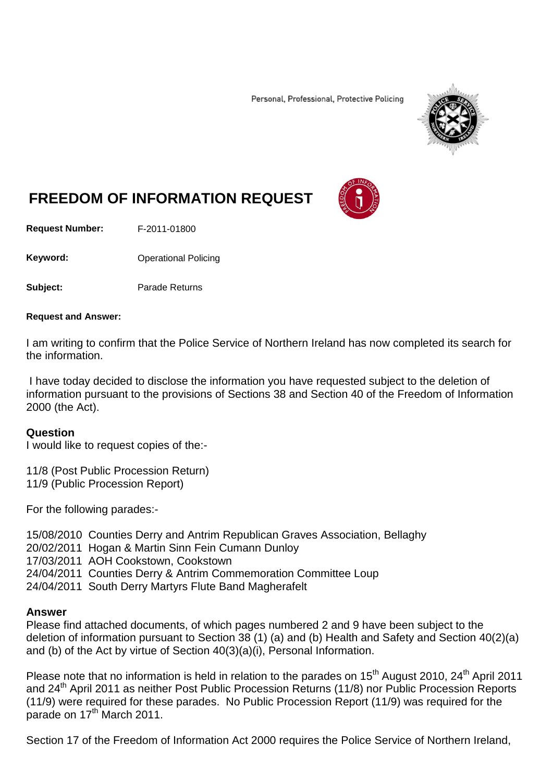Personal, Professional, Protective Policing



# **FREEDOM OF INFORMATION REQUEST**

**Request Number:** F-2011-01800

**Keyword:** Operational Policing

**Subject:** Parade Returns

#### **Request and Answer:**

I am writing to confirm that the Police Service of Northern Ireland has now completed its search for the information.

I have today decided to disclose the information you have requested subject to the deletion of information pursuant to the provisions of Sections 38 and Section 40 of the Freedom of Information 2000 (the Act).

#### **Question**

I would like to request copies of the:-

11/8 (Post Public Procession Return) 11/9 (Public Procession Report)

For the following parades:-

15/08/2010 Counties Derry and Antrim Republican Graves Association, Bellaghy 20/02/2011 Hogan & Martin Sinn Fein Cumann Dunloy 17/03/2011 AOH Cookstown, Cookstown 24/04/2011 Counties Derry & Antrim Commemoration Committee Loup 24/04/2011 South Derry Martyrs Flute Band Magherafelt

#### **Answer**

Please find attached documents, of which pages numbered 2 and 9 have been subject to the deletion of information pursuant to Section 38 (1) (a) and (b) Health and Safety and Section 40(2)(a) and (b) of the Act by virtue of Section 40(3)(a)(i), Personal Information.

Please note that no information is held in relation to the parades on 15<sup>th</sup> August 2010, 24<sup>th</sup> April 2011 and 24<sup>th</sup> April 2011 as neither Post Public Procession Returns (11/8) nor Public Procession Reports (11/9) were required for these parades. No Public Procession Report (11/9) was required for the parade on  $17<sup>th</sup>$  March 2011.

Section 17 of the Freedom of Information Act 2000 requires the Police Service of Northern Ireland,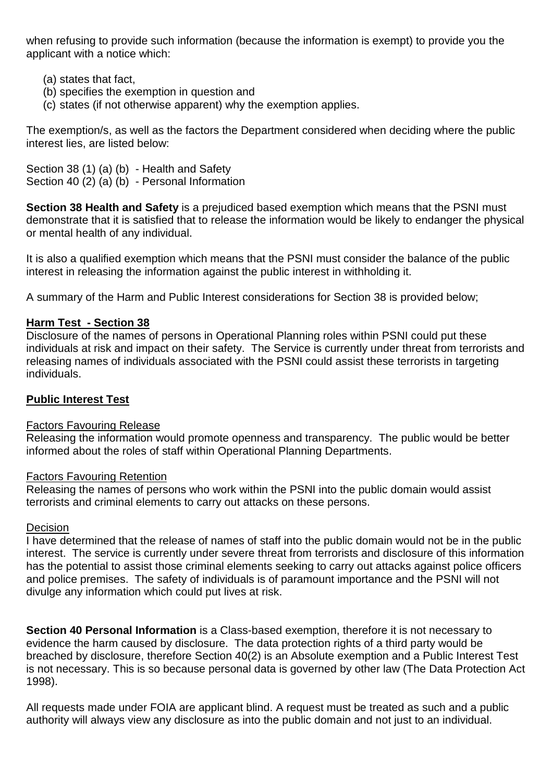when refusing to provide such information (because the information is exempt) to provide you the applicant with a notice which:

- (a) states that fact,
- (b) specifies the exemption in question and
- (c) states (if not otherwise apparent) why the exemption applies.

The exemption/s, as well as the factors the Department considered when deciding where the public interest lies, are listed below:

Section 38 (1) (a) (b) - Health and Safety Section 40 (2) (a) (b) - Personal Information

**Section 38 Health and Safety** is a prejudiced based exemption which means that the PSNI must demonstrate that it is satisfied that to release the information would be likely to endanger the physical or mental health of any individual.

It is also a qualified exemption which means that the PSNI must consider the balance of the public interest in releasing the information against the public interest in withholding it.

A summary of the Harm and Public Interest considerations for Section 38 is provided below;

### **Harm Test - Section 38**

Disclosure of the names of persons in Operational Planning roles within PSNI could put these individuals at risk and impact on their safety. The Service is currently under threat from terrorists and releasing names of individuals associated with the PSNI could assist these terrorists in targeting individuals.

### **Public Interest Test**

### Factors Favouring Release

Releasing the information would promote openness and transparency. The public would be better informed about the roles of staff within Operational Planning Departments.

### Factors Favouring Retention

Releasing the names of persons who work within the PSNI into the public domain would assist terrorists and criminal elements to carry out attacks on these persons.

### Decision

I have determined that the release of names of staff into the public domain would not be in the public interest. The service is currently under severe threat from terrorists and disclosure of this information has the potential to assist those criminal elements seeking to carry out attacks against police officers and police premises. The safety of individuals is of paramount importance and the PSNI will not divulge any information which could put lives at risk.

**Section 40 Personal Information** is a Class-based exemption, therefore it is not necessary to evidence the harm caused by disclosure. The data protection rights of a third party would be breached by disclosure, therefore Section 40(2) is an Absolute exemption and a Public Interest Test is not necessary. This is so because personal data is governed by other law (The Data Protection Act 1998).

All requests made under FOIA are applicant blind. A request must be treated as such and a public authority will always view any disclosure as into the public domain and not just to an individual.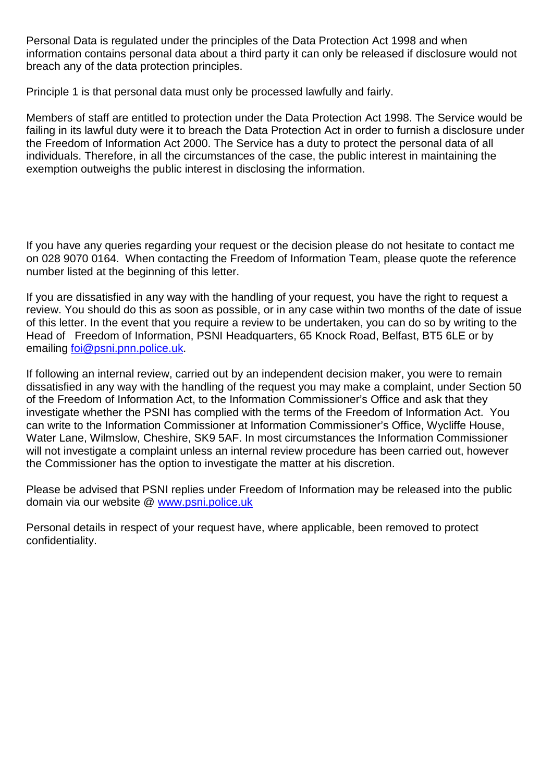Personal Data is regulated under the principles of the Data Protection Act 1998 and when information contains personal data about a third party it can only be released if disclosure would not breach any of the data protection principles.

Principle 1 is that personal data must only be processed lawfully and fairly.

Members of staff are entitled to protection under the Data Protection Act 1998. The Service would be failing in its lawful duty were it to breach the Data Protection Act in order to furnish a disclosure under the Freedom of Information Act 2000. The Service has a duty to protect the personal data of all individuals. Therefore, in all the circumstances of the case, the public interest in maintaining the exemption outweighs the public interest in disclosing the information.

If you have any queries regarding your request or the decision please do not hesitate to contact me on 028 9070 0164. When contacting the Freedom of Information Team, please quote the reference number listed at the beginning of this letter.

If you are dissatisfied in any way with the handling of your request, you have the right to request a review. You should do this as soon as possible, or in any case within two months of the date of issue of this letter. In the event that you require a review to be undertaken, you can do so by writing to the Head of Freedom of Information, PSNI Headquarters, 65 Knock Road, Belfast, BT5 6LE or by emailing [foi@psni.pnn.police.uk.](mailto:foi@psni.pnn.police.uk)

If following an internal review, carried out by an independent decision maker, you were to remain dissatisfied in any way with the handling of the request you may make a complaint, under Section 50 of the Freedom of Information Act, to the Information Commissioner's Office and ask that they investigate whether the PSNI has complied with the terms of the Freedom of Information Act. You can write to the Information Commissioner at Information Commissioner's Office, Wycliffe House, Water Lane, Wilmslow, Cheshire, SK9 5AF. In most circumstances the Information Commissioner will not investigate a complaint unless an internal review procedure has been carried out, however the Commissioner has the option to investigate the matter at his discretion.

Please be advised that PSNI replies under Freedom of Information may be released into the public domain via our website @ [www.psni.police.uk](http://www.psni.police.uk/)

Personal details in respect of your request have, where applicable, been removed to protect confidentiality.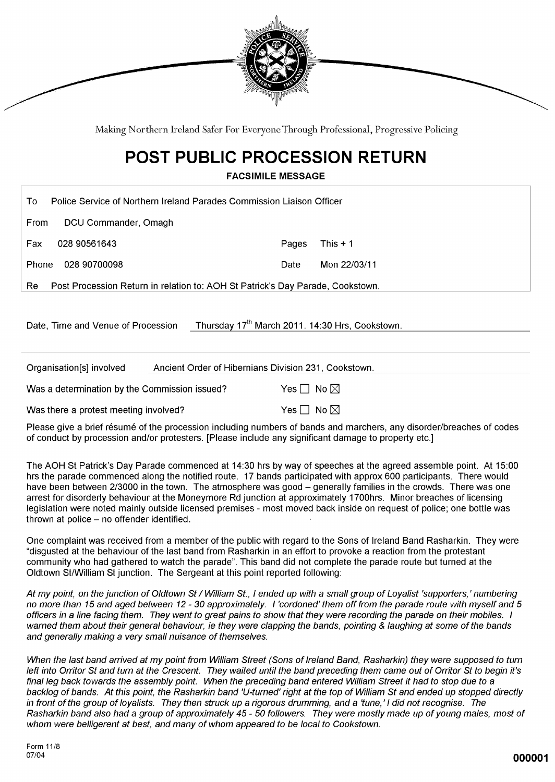

Making Northern Ireland Safer For Everyone Through Professional, Progressive Policing

## **POST PUBLIC PROCESSION RETURN**

**FACSIMILE MESSAGE** 

| To l       | Police Service of Northern Ireland Parades Commission Liaison Officer             |       |              |  |  |
|------------|-----------------------------------------------------------------------------------|-------|--------------|--|--|
| From       | DCU Commander, Omagh                                                              |       |              |  |  |
| <b>Fax</b> | 028 90561643                                                                      | Pages | This $+1$    |  |  |
| Phone      | 028 90700098                                                                      | Date  | Mon 22/03/11 |  |  |
|            | Re Post Procession Return in relation to: AOH St Patrick's Day Parade, Cookstown. |       |              |  |  |

Date, Time and Venue of Procession Thursday 17<sup>th</sup> March 2011. 14:30 Hrs, Cookstown.

| Organisation[s] involved                      | Ancient Order of Hibernians Division 231, Cookstown. |  |
|-----------------------------------------------|------------------------------------------------------|--|
| Was a determination by the Commission issued? | Yes $\Box\,$ No $\boxtimes\,$                        |  |
| Was there a protest meeting involved?         | Yes $\Box$ No $\boxtimes$                            |  |

Please give a brief résumé of the procession including numbers of bands and marchers, any disorder/breaches of codes of conduct by procession and/or protesters. [Please include any significant damage to property etc.]

The AOH St Patrick's Day Parade commenced at 14:30 hrs by way of speeches at the agreed assemble point. At 15:00 hrs the parade commenced along the notified route. 17 bands participated with approx 600 participants. There would have been between 2/3000 in the town. The atmosphere was good - generally families in the crowds. There was one arrest for disorderly behaviour at the Moneymore Rd junction at approximately 1700hrs. Minor breaches of licensing legislation were noted mainly outside licensed premises - most moved back inside on request of police; one bottle was thrown at police - no offender identified.

One complaint was received from a member of the public with regard to the Sons of Ireland Band Rasharkin. They were "disgusted at the behaviour of the last band from Rasharkin in an effort to provoke a reaction from the protestant community who had gathered to watch the parade". This band did not complete the parade route but turned at the Oldtown St/William St junction. The Sergeant at this point reported following:

At my point, on the junction of Oldtown St / William St., I ended up with a small group of Loyalist 'supporters,' numbering no more than 15 and aged between 12 - 30 approximately. I 'cordoned' them off from the parade route with myself and 5 officers in a line facing them. They went to great pains to show that they were recording the parade on their mobiles. I warned them about their general behaviour, ie they were clapping the bands, pointing & laughing at some of the bands and generally making a very small nuisance of themselves.

When the last band arrived at my point from William Street (Sons of Ireland Band, Rasharkin) they were supposed to turn left into Orritor St and turn at the Crescent. They waited until the band preceding them came out of Orritor St to begin it's final leg back towards the assembly point. When the preceding band entered William Street it had to stop due to a backlog of bands. At this point, the Rasharkin band 'U-turned' right at the top of William St and ended up stopped directly in front of the group of loyalists. They then struck up a rigorous drumming, and a 'tune,' I did not recognise. The Rasharkin band also had a group of approximately 45 - 50 followers. They were mostly made up of young males, most of whom were belligerent at best, and many of whom appeared to be local to Cookstown.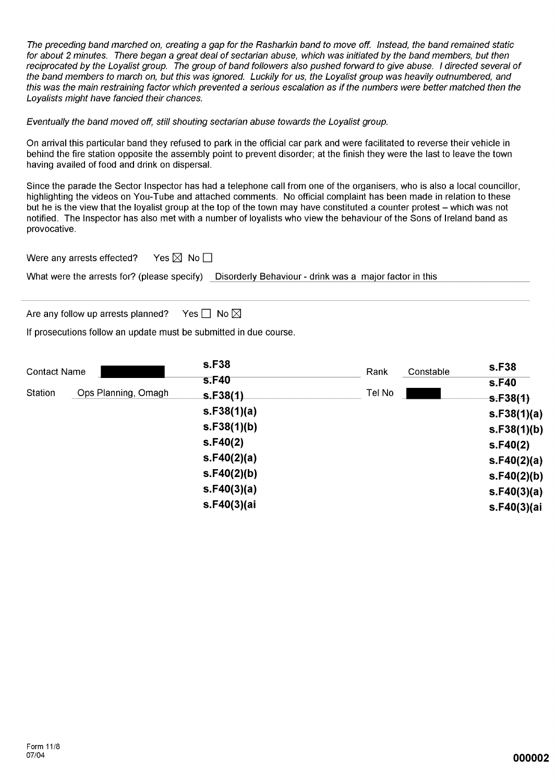The preceding band marched on, creating a gap for the Rasharkin band to move off. Instead, the band remained static for about 2 minutes. There began a great deal of sectarian abuse, which was initiated by the band members, but then reciprocated by the Lovalist group. The group of band followers also pushed forward to give abuse. I directed several of the band members to march on, but this was ignored. Luckily for us, the Loyalist group was heavily outnumbered, and this was the main restraining factor which prevented a serious escalation as if the numbers were better matched then the Loyalists might have fancied their chances.

Eventually the band moved off, still shouting sectarian abuse towards the Loyalist group.

On arrival this particular band they refused to park in the official car park and were facilitated to reverse their vehicle in behind the fire station opposite the assembly point to prevent disorder; at the finish they were the last to leave the town having availed of food and drink on dispersal.

Since the parade the Sector Inspector has had a telephone call from one of the organisers, who is also a local councillor, highlighting the videos on You-Tube and attached comments. No official complaint has been made in relation to these but he is the view that the loyalist group at the top of the town may have constituted a counter protest – which was not notified. The Inspector has also met with a number of loyalists who view the behaviour of the Sons of Ireland band as provocative.

Yes  $\boxtimes$  No  $\square$ Were any arrests effected?

What were the arrests for? (please specify) Disorderly Behaviour - drink was a major factor in this

Are any follow up arrests planned? Yes  $\Box$  No  $\boxtimes$ 

If prosecutions follow an update must be submitted in due course.

| <b>Contact Name</b> |                     | s.F38       | Rank   | Constable | s.F38       |
|---------------------|---------------------|-------------|--------|-----------|-------------|
|                     |                     | s.F40       |        |           | s.F40       |
| Station             | Ops Planning, Omagh | S.F38(1)    | Tel No |           | S.F38(1)    |
|                     |                     | s.F38(1)(a) |        |           | s.F38(1)(a) |
|                     |                     | s.F38(1)(b) |        |           | s.F38(1)(b) |
|                     |                     | S.F40(2)    |        |           | S.F40(2)    |
|                     |                     | s.F40(2)(a) |        |           | s.F40(2)(a) |
|                     |                     | s.F40(2)(b) |        |           | s.F40(2)(b) |
|                     |                     | s.F40(3)(a) |        |           | s.F40(3)(a) |
|                     |                     | s.F40(3)(ai |        |           | s.F40(3)(ai |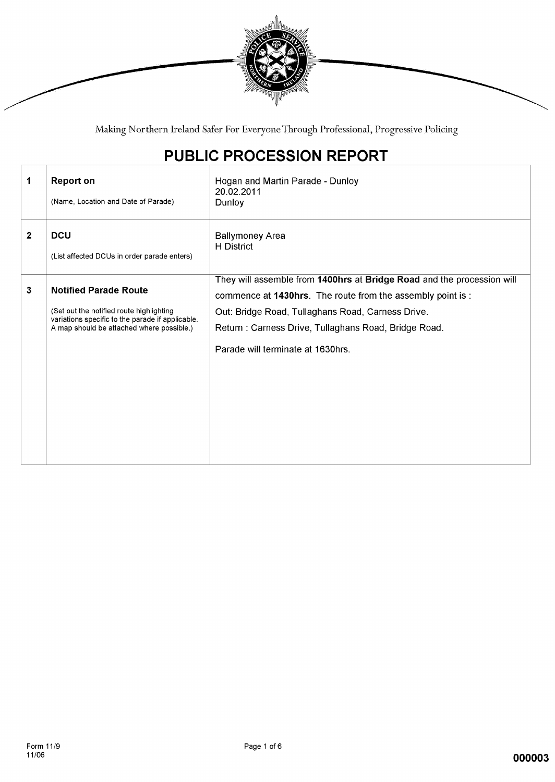

Making Northern Ireland Safer For Everyone Through Professional, Progressive Policing

## PUBLIC PROCESSION REPORT

| 1            | <b>Report on</b><br>(Name, Location and Date of Parade)                                                                                                                   | Hogan and Martin Parade - Dunloy<br>20.02.2011<br>Dunloy                                                                                                                                                                                                                                |
|--------------|---------------------------------------------------------------------------------------------------------------------------------------------------------------------------|-----------------------------------------------------------------------------------------------------------------------------------------------------------------------------------------------------------------------------------------------------------------------------------------|
| $\mathbf{2}$ | <b>DCU</b><br>(List affected DCUs in order parade enters)                                                                                                                 | <b>Ballymoney Area</b><br><b>H</b> District                                                                                                                                                                                                                                             |
| 3            | <b>Notified Parade Route</b><br>(Set out the notified route highlighting<br>variations specific to the parade if applicable.<br>A map should be attached where possible.) | They will assemble from 1400hrs at Bridge Road and the procession will<br>commence at 1430hrs. The route from the assembly point is :<br>Out: Bridge Road, Tullaghans Road, Carness Drive.<br>Return: Carness Drive, Tullaghans Road, Bridge Road.<br>Parade will terminate at 1630hrs. |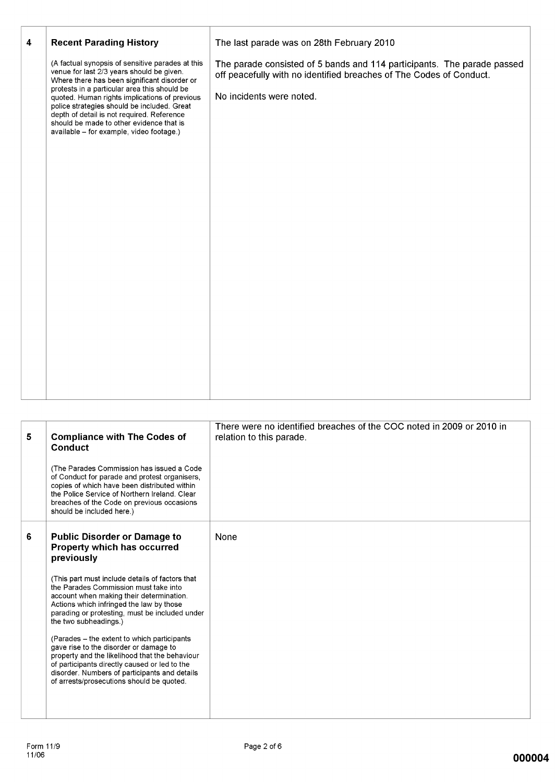| (A factual synopsis of sensitive parades at this<br>The parade consisted of 5 bands and 114 participants. The parade passed<br>venue for last 2/3 years should be given.<br>off peacefully with no identified breaches of The Codes of Conduct.<br>Where there has been significant disorder or<br>protests in a particular area this should be<br>No incidents were noted.<br>quoted. Human rights implications of previous<br>police strategies should be included. Great<br>depth of detail is not required. Reference<br>should be made to other evidence that is<br>available - for example, video footage.) |   |                                |                                           |
|-------------------------------------------------------------------------------------------------------------------------------------------------------------------------------------------------------------------------------------------------------------------------------------------------------------------------------------------------------------------------------------------------------------------------------------------------------------------------------------------------------------------------------------------------------------------------------------------------------------------|---|--------------------------------|-------------------------------------------|
|                                                                                                                                                                                                                                                                                                                                                                                                                                                                                                                                                                                                                   | 4 | <b>Recent Parading History</b> | The last parade was on 28th February 2010 |
|                                                                                                                                                                                                                                                                                                                                                                                                                                                                                                                                                                                                                   |   |                                |                                           |

| 5 | <b>Compliance with The Codes of</b><br>Conduct<br>(The Parades Commission has issued a Code)<br>of Conduct for parade and protest organisers,<br>copies of which have been distributed within<br>the Police Service of Northern Ireland, Clear<br>breaches of the Code on previous occasions<br>should be included here.)                                                                                                                                                                                                                                                                                                                  | There were no identified breaches of the COC noted in 2009 or 2010 in<br>relation to this parade. |
|---|--------------------------------------------------------------------------------------------------------------------------------------------------------------------------------------------------------------------------------------------------------------------------------------------------------------------------------------------------------------------------------------------------------------------------------------------------------------------------------------------------------------------------------------------------------------------------------------------------------------------------------------------|---------------------------------------------------------------------------------------------------|
| 6 | <b>Public Disorder or Damage to</b><br>Property which has occurred<br>previously<br>(This part must include details of factors that<br>the Parades Commission must take into<br>account when making their determination.<br>Actions which infringed the law by those<br>parading or protesting, must be included under<br>the two subheadings.)<br>(Parades – the extent to which participants)<br>gave rise to the disorder or damage to<br>property and the likelihood that the behaviour<br>of participants directly caused or led to the<br>disorder. Numbers of participants and details<br>of arrests/prosecutions should be quoted. | None                                                                                              |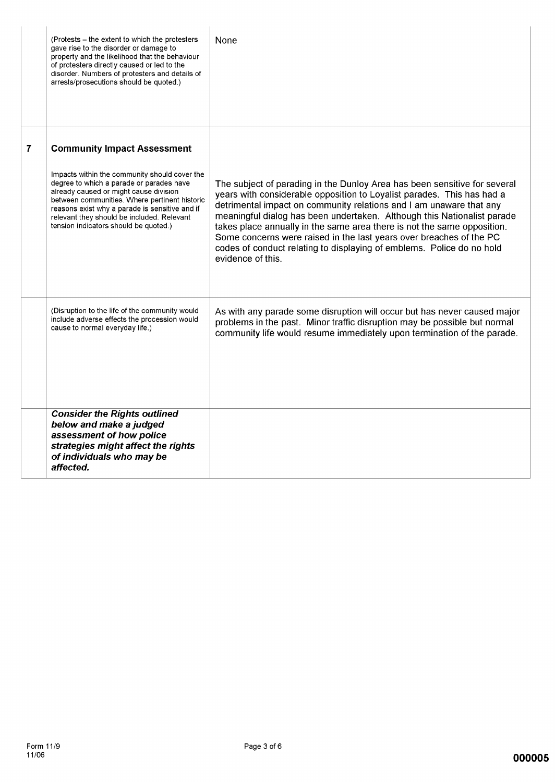|                | (Protests – the extent to which the protesters<br>gave rise to the disorder or damage to<br>property and the likelihood that the behaviour<br>of protesters directly caused or led to the<br>disorder. Numbers of protesters and details of<br>arrests/prosecutions should be quoted.)                                        | None                                                                                                                                                                                                                                                                                                                                                                                                                                                                                                                                                  |
|----------------|-------------------------------------------------------------------------------------------------------------------------------------------------------------------------------------------------------------------------------------------------------------------------------------------------------------------------------|-------------------------------------------------------------------------------------------------------------------------------------------------------------------------------------------------------------------------------------------------------------------------------------------------------------------------------------------------------------------------------------------------------------------------------------------------------------------------------------------------------------------------------------------------------|
| $\overline{7}$ | <b>Community Impact Assessment</b>                                                                                                                                                                                                                                                                                            |                                                                                                                                                                                                                                                                                                                                                                                                                                                                                                                                                       |
|                | Impacts within the community should cover the<br>degree to which a parade or parades have<br>already caused or might cause division<br>between communities. Where pertinent historic<br>reasons exist why a parade is sensitive and if<br>relevant they should be included. Relevant<br>tension indicators should be quoted.) | The subject of parading in the Dunloy Area has been sensitive for several<br>years with considerable opposition to Loyalist parades. This has had a<br>detrimental impact on community relations and I am unaware that any<br>meaningful dialog has been undertaken. Although this Nationalist parade<br>takes place annually in the same area there is not the same opposition.<br>Some concerns were raised in the last years over breaches of the PC<br>codes of conduct relating to displaying of emblems. Police do no hold<br>evidence of this. |
|                | (Disruption to the life of the community would<br>include adverse effects the procession would<br>cause to normal everyday life.)                                                                                                                                                                                             | As with any parade some disruption will occur but has never caused major<br>problems in the past. Minor traffic disruption may be possible but normal<br>community life would resume immediately upon termination of the parade.                                                                                                                                                                                                                                                                                                                      |
|                | <b>Consider the Rights outlined</b><br>below and make a judged<br>assessment of how police<br>strategies might affect the rights<br>of individuals who may be<br>affected.                                                                                                                                                    |                                                                                                                                                                                                                                                                                                                                                                                                                                                                                                                                                       |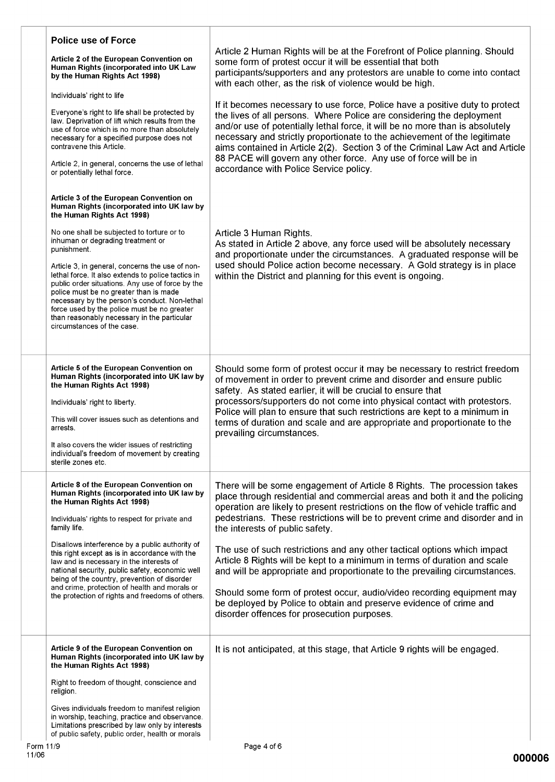| <b>Police use of Force</b><br>Article 2 of the European Convention on<br>Human Rights (incorporated into UK Law<br>by the Human Rights Act 1998)<br>Individuals' right to life<br>Everyone's right to life shall be protected by<br>law. Deprivation of lift which results from the<br>use of force which is no more than absolutely<br>necessary for a specified purpose does not<br>contravene this Article.<br>Article 2, in general, concerns the use of lethal<br>or potentially lethal force.                                                                                                      | Article 2 Human Rights will be at the Forefront of Police planning. Should<br>some form of protest occur it will be essential that both<br>participants/supporters and any protestors are unable to come into contact<br>with each other, as the risk of violence would be high.<br>If it becomes necessary to use force, Police have a positive duty to protect<br>the lives of all persons. Where Police are considering the deployment<br>and/or use of potentially lethal force, it will be no more than is absolutely<br>necessary and strictly proportionate to the achievement of the legitimate<br>aims contained in Article 2(2). Section 3 of the Criminal Law Act and Article<br>88 PACE will govern any other force. Any use of force will be in<br>accordance with Police Service policy. |
|----------------------------------------------------------------------------------------------------------------------------------------------------------------------------------------------------------------------------------------------------------------------------------------------------------------------------------------------------------------------------------------------------------------------------------------------------------------------------------------------------------------------------------------------------------------------------------------------------------|--------------------------------------------------------------------------------------------------------------------------------------------------------------------------------------------------------------------------------------------------------------------------------------------------------------------------------------------------------------------------------------------------------------------------------------------------------------------------------------------------------------------------------------------------------------------------------------------------------------------------------------------------------------------------------------------------------------------------------------------------------------------------------------------------------|
| Article 3 of the European Convention on<br>Human Rights (incorporated into UK law by<br>the Human Rights Act 1998)<br>No one shall be subjected to torture or to<br>inhuman or degrading treatment or<br>punishment.<br>Article 3, in general, concerns the use of non-<br>lethal force. It also extends to police tactics in<br>public order situations. Any use of force by the<br>police must be no greater than is made<br>necessary by the person's conduct. Non-lethal<br>force used by the police must be no greater<br>than reasonably necessary in the particular<br>circumstances of the case. | Article 3 Human Rights.<br>As stated in Article 2 above, any force used will be absolutely necessary<br>and proportionate under the circumstances. A graduated response will be<br>used should Police action become necessary. A Gold strategy is in place<br>within the District and planning for this event is ongoing.                                                                                                                                                                                                                                                                                                                                                                                                                                                                              |
| Article 5 of the European Convention on<br>Human Rights (incorporated into UK law by<br>the Human Rights Act 1998)<br>Individuals' right to liberty.<br>This will cover issues such as detentions and<br>arrests.<br>It also covers the wider issues of restricting<br>individual's freedom of movement by creating<br>sterile zones etc.                                                                                                                                                                                                                                                                | Should some form of protest occur it may be necessary to restrict freedom<br>of movement in order to prevent crime and disorder and ensure public<br>safety. As stated earlier, it will be crucial to ensure that<br>processors/supporters do not come into physical contact with protestors.<br>Police will plan to ensure that such restrictions are kept to a minimum in<br>terms of duration and scale and are appropriate and proportionate to the<br>prevailing circumstances.                                                                                                                                                                                                                                                                                                                   |
| Article 8 of the European Convention on<br>Human Rights (incorporated into UK law by<br>the Human Rights Act 1998)<br>Individuals' rights to respect for private and<br>family life.<br>Disallows interference by a public authority of<br>this right except as is in accordance with the<br>law and is necessary in the interests of<br>national security, public safety, economic well<br>being of the country, prevention of disorder<br>and crime, protection of health and morals or<br>the protection of rights and freedoms of others.                                                            | There will be some engagement of Article 8 Rights. The procession takes<br>place through residential and commercial areas and both it and the policing<br>operation are likely to present restrictions on the flow of vehicle traffic and<br>pedestrians. These restrictions will be to prevent crime and disorder and in<br>the interests of public safety.<br>The use of such restrictions and any other tactical options which impact<br>Article 8 Rights will be kept to a minimum in terms of duration and scale<br>and will be appropriate and proportionate to the prevailing circumstances.<br>Should some form of protest occur, audio/video recording equipment may<br>be deployed by Police to obtain and preserve evidence of crime and<br>disorder offences for prosecution purposes.     |
| Article 9 of the European Convention on<br>Human Rights (incorporated into UK law by<br>the Human Rights Act 1998)<br>Right to freedom of thought, conscience and<br>religion.<br>Gives individuals freedom to manifest religion<br>in worship, teaching, practice and observance.<br>Limitations prescribed by law only by interests<br>of public safety, public order, health or morals                                                                                                                                                                                                                | It is not anticipated, at this stage, that Article 9 rights will be engaged.                                                                                                                                                                                                                                                                                                                                                                                                                                                                                                                                                                                                                                                                                                                           |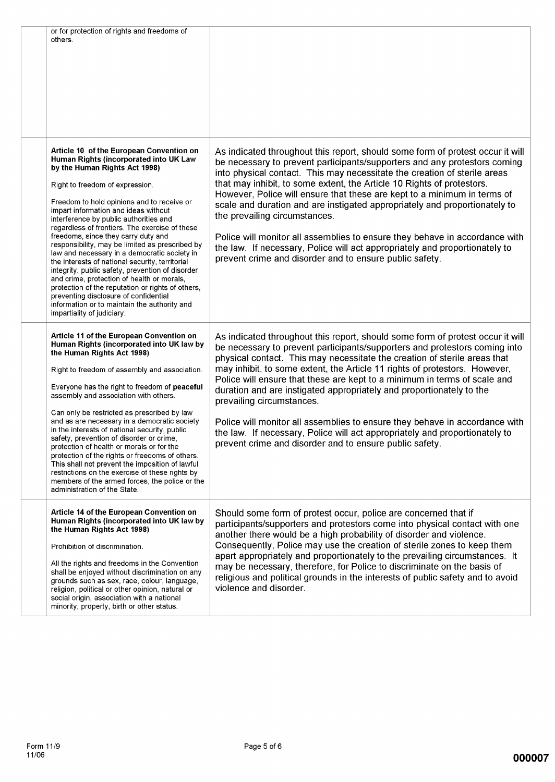| or for protection of rights and freedoms of<br>others.                                                                                                                                                                                                                                                                                                                                                                                                                                                                                                                                                                                                                                                                                                                                                              |                                                                                                                                                                                                                                                                                                                                                                                                                                                                                                                                                                                                                                                                                                                                        |
|---------------------------------------------------------------------------------------------------------------------------------------------------------------------------------------------------------------------------------------------------------------------------------------------------------------------------------------------------------------------------------------------------------------------------------------------------------------------------------------------------------------------------------------------------------------------------------------------------------------------------------------------------------------------------------------------------------------------------------------------------------------------------------------------------------------------|----------------------------------------------------------------------------------------------------------------------------------------------------------------------------------------------------------------------------------------------------------------------------------------------------------------------------------------------------------------------------------------------------------------------------------------------------------------------------------------------------------------------------------------------------------------------------------------------------------------------------------------------------------------------------------------------------------------------------------------|
| Article 10 of the European Convention on<br>Human Rights (incorporated into UK Law<br>by the Human Rights Act 1998)<br>Right to freedom of expression.<br>Freedom to hold opinions and to receive or<br>impart information and ideas without<br>interference by public authorities and<br>regardless of frontiers. The exercise of these<br>freedoms, since they carry duty and<br>responsibility, may be limited as prescribed by<br>law and necessary in a democratic society in<br>the interests of national security, territorial<br>integrity, public safety, prevention of disorder<br>and crime, protection of health or morals,<br>protection of the reputation or rights of others,<br>preventing disclosure of confidential<br>information or to maintain the authority and<br>impartiality of judiciary. | As indicated throughout this report, should some form of protest occur it will<br>be necessary to prevent participants/supporters and any protestors coming<br>into physical contact. This may necessitate the creation of sterile areas<br>that may inhibit, to some extent, the Article 10 Rights of protestors.<br>However, Police will ensure that these are kept to a minimum in terms of<br>scale and duration and are instigated appropriately and proportionately to<br>the prevailing circumstances.<br>Police will monitor all assemblies to ensure they behave in accordance with<br>the law. If necessary, Police will act appropriately and proportionately to<br>prevent crime and disorder and to ensure public safety. |
| Article 11 of the European Convention on<br>Human Rights (incorporated into UK law by<br>the Human Rights Act 1998)<br>Right to freedom of assembly and association.<br>Everyone has the right to freedom of peaceful<br>assembly and association with others.<br>Can only be restricted as prescribed by law<br>and as are necessary in a democratic society<br>in the interests of national security, public<br>safety, prevention of disorder or crime.<br>protection of health or morals or for the<br>protection of the rights or freedoms of others.<br>This shall not prevent the imposition of lawful<br>restrictions on the exercise of these rights by<br>members of the armed forces, the police or the<br>administration of the State.                                                                  | As indicated throughout this report, should some form of protest occur it will<br>be necessary to prevent participants/supporters and protestors coming into<br>physical contact. This may necessitate the creation of sterile areas that<br>may inhibit, to some extent, the Article 11 rights of protestors. However,<br>Police will ensure that these are kept to a minimum in terms of scale and<br>duration and are instigated appropriately and proportionately to the<br>prevailing circumstances.<br>Police will monitor all assemblies to ensure they behave in accordance with<br>the law. If necessary, Police will act appropriately and proportionately to<br>prevent crime and disorder and to ensure public safety.     |
| Article 14 of the European Convention on<br>Human Rights (incorporated into UK law by<br>the Human Rights Act 1998)<br>Prohibition of discrimination.<br>All the rights and freedoms in the Convention<br>shall be enjoyed without discrimination on any<br>grounds such as sex, race, colour, language,<br>religion, political or other opinion, natural or<br>social origin, association with a national<br>minority, property, birth or other status.                                                                                                                                                                                                                                                                                                                                                            | Should some form of protest occur, police are concerned that if<br>participants/supporters and protestors come into physical contact with one<br>another there would be a high probability of disorder and violence.<br>Consequently, Police may use the creation of sterile zones to keep them<br>apart appropriately and proportionately to the prevailing circumstances. It<br>may be necessary, therefore, for Police to discriminate on the basis of<br>religious and political grounds in the interests of public safety and to avoid<br>violence and disorder.                                                                                                                                                                  |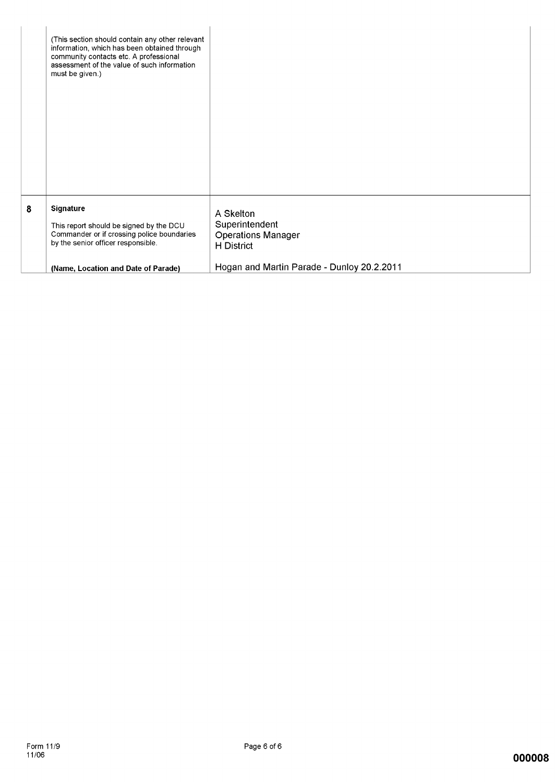|   | (This section should contain any other relevant<br>information, which has been obtained through<br>community contacts etc. A professional<br>assessment of the value of such information<br>must be given.) |                                                                                                                      |
|---|-------------------------------------------------------------------------------------------------------------------------------------------------------------------------------------------------------------|----------------------------------------------------------------------------------------------------------------------|
| 8 | <b>Signature</b><br>This report should be signed by the DCU<br>Commander or if crossing police boundaries<br>by the senior officer responsible.<br>(Name, Location and Date of Parade)                      | A Skelton<br>Superintendent<br><b>Operations Manager</b><br>H District<br>Hogan and Martin Parade - Dunloy 20.2.2011 |